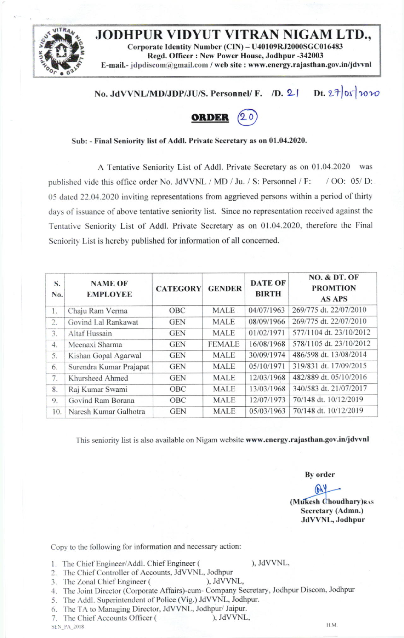,,ffi JODHPUR VIDYUT VITRAN NIGAM LTD., Corporate Identity Number (CIN) - U40109RJ2000SGC016483 Regd. Officer : New Power House, Jodhpur -342003 E-mail.- jdpdiscom@gmail.com / web site : www.energy.rajasthan.gov.in/jdvvnl

## No. JdVVNL/MD/JDP/JU/S. Personnel/ F. /D. 2| Dt.  $27$  of  $20$



## Sub: - Final Seniority list of Addl. Private Secretary as on 01.04.2020.

A Tentative Seniority List of Addl. Private Secretary as on 01.04.2020 was published vide this office order No. JdVVNL / MD / Ju. / S: Personnel / F: / OO: 05/ D: 05 dated 22.04.2020 inviting representations from aggrieved persons within a period of thirty day sof issuance of above tentative seniority list. Since no representation received against the Tentative Seniority List of Addl. Private Secretary as on 01.04.2020, therefore the Final Seniority List is hereby published for information of all concerned.

| S.<br>No. | <b>NAME OF</b><br><b>EMPLOYEE</b> | <b>CATEGORY</b> | <b>GENDER</b> | <b>DATE OF</b><br><b>BIRTH</b> | <b>NO. &amp; DT. OF</b><br><b>PROMTION</b><br><b>AS APS</b> |
|-----------|-----------------------------------|-----------------|---------------|--------------------------------|-------------------------------------------------------------|
| 1.        | Chaju Ram Verma                   | OBC             | <b>MALE</b>   | 04/07/1963                     | 269/775 dt. 22/07/2010                                      |
| 2.        | Govind Lal Rankawat               | <b>GEN</b>      | <b>MALE</b>   | 08/09/1966                     | 269/775 dt. 22/07/2010                                      |
| 3.        | Altaf Hussain                     | <b>GEN</b>      | <b>MALE</b>   | 01/02/1971                     | 577/1104 dt. 23/10/2012                                     |
| 4.        | Meenaxi Sharma                    | <b>GEN</b>      | <b>FEMALE</b> | 16/08/1968                     | 578/1105 dt. 23/10/2012                                     |
| 5.        | Kishan Gopal Agarwal              | <b>GEN</b>      | <b>MALE</b>   | 30/09/1974                     | 486/598 dt. 13/08/2014                                      |
| 6.        | Surendra Kumar Prajapat           | <b>GEN</b>      | <b>MALE</b>   | 05/10/1971                     | 319/831 dt. 17/09/2015                                      |
| 7.        | Khursheed Ahmed                   | <b>GEN</b>      | <b>MALE</b>   | 12/03/1968                     | 482/889 dt. 05/10/2016                                      |
| 8.        | Raj Kumar Swami                   | OBC             | <b>MALE</b>   | 13/03/1968                     | 340/583 dt. 21/07/2017                                      |
| 9.        | Govind Ram Borana                 | OBC             | <b>MALE</b>   | 12/07/1973                     | 70/148 dt. 10/12/2019                                       |
| 10.       | Naresh Kumar Galhotra             | <b>GEN</b>      | <b>MALE</b>   | 05/03/1963                     | 70/148 dt. 10/12/2019                                       |
|           |                                   |                 |               |                                |                                                             |

This seniority list is also available on Nigam website www.energy.rajasthan.gov.in/jdvvnl

By order

 $(b)$ (Mukesh Choudhary)RAS Secretary (Admn.) JdWNL, Jodhpur

Copy to the following for information and necessary action:

- 1. The Chief Engineer/Addl. Chief Engineer ( ), JdVVNL,
- 2. The Chief Controller of Accounts, JdVVNL, Jodhpur<br>
3. The Zonal Chief Engineer (
), JdVVNL,
- 3. The Zonal Chief Engineer (
- :1. Thc Joint Director (Corporate Affairs)-cum- Company Secretary, Jodhpur Discom, Jodhpur
- 5. The Addl. Superintendent of Police (Vig.) JdVVNL, Jodhpur.
- 
- 6. The TA to Managing Director, JdVVNL, Jodhpur/ Jaipur.<br>7. The Chief Accounts Officer (except). JdVVNL, 7. The Chief Accounts Officer (
SEN\_PA\_2018

 $\textrm{N-N}$  2018 results and the set of the set of the set of the set of the set of the set of the set of the set of the set of the set of the set of the set of the set of the set of the set of the set of the set of the set